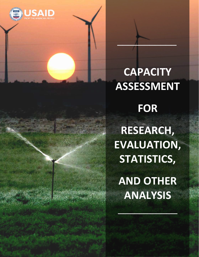

# **CAPACITY ASSESSMENT**

 $\Gamma$ 

**FOR RESEARCH, EVALUATION, STATISTICS, AND OTHER ANALYSIS**

 $\mathcal{L}=\mathcal{L}^{\mathcal{L}}$  , where  $\mathcal{L}^{\mathcal{L}}$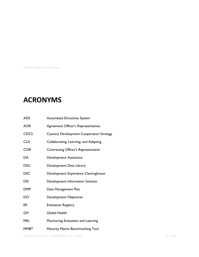PHOTO CREDIT: SUDIPTO DAS

# **ACRONYMS**

| <b>ADS</b>  | <b>Automated Directives System</b>              |
|-------------|-------------------------------------------------|
| <b>AOR</b>  | <b>Agreement Officer's Representatives</b>      |
| <b>CDCS</b> | <b>Country Development Cooperation Strategy</b> |
| <b>CLA</b>  | Collaborating, Learning, and Adapting           |
| <b>COR</b>  | <b>Contracting Officer's Representative</b>     |
| DA          | Development Assistance                          |
| DDL         | Development Data Library                        |
| <b>DEC</b>  | Development Experience Clearinghouse            |
| <b>DIS</b>  | Development Information Solution                |
| <b>DMP</b>  | Data Management Plan                            |
| DO          | <b>Development Objectives</b>                   |
| ER          | <b>Evaluation Registry</b>                      |
| GH          | Global Health                                   |
| MEL         | Monitoring Evaluation and Learning              |
| <b>MMBT</b> | <b>Maturity Matrix Benchmarking Tool</b>        |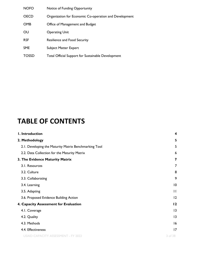| <b>NOFO</b>  | Notice of Funding Opportunity                             |
|--------------|-----------------------------------------------------------|
| <b>OECD</b>  | Organization for Economic Co-operation and Development    |
| <b>OMB</b>   | Office of Management and Budget                           |
| OU           | <b>Operating Unit</b>                                     |
| <b>RSF</b>   | <b>Resilience and Food Security</b>                       |
| <b>SME</b>   | <b>Subject Matter Expert</b>                              |
| <b>TOSSD</b> | <b>Total Official Support for Sustainable Development</b> |

# **TABLE OF CONTENTS**

| I. Introduction                                       | 4            |
|-------------------------------------------------------|--------------|
| 2. Methodology                                        | 5            |
| 2.1. Developing the Maturity Matrix Benchmarking Tool | 5            |
| 2.2. Data Collection for the Maturity Matrix          | 6            |
| 3. The Evidence Maturity Matrix                       | 7            |
| 3.1. Resources                                        | 7            |
| 3.2. Culture                                          | 8            |
| 3.3. Collaborating                                    | 9            |
| 3.4. Learning                                         | 10           |
| 3.5. Adapting                                         | $\mathbf{I}$ |
| 3.6. Proposed Evidence Building Action                | 12           |
| 4. Capacity Assessment for Evaluation                 | 12           |
| 4.1. Coverage                                         | 13           |
| 4.2. Quality                                          | 13           |
| 4.3. Methods                                          | 16           |
| 4.4. Effectiveness                                    | 17           |
| <b>USAID CAPACITY ASSESSMENT - FY 2022</b>            | 3 of 38      |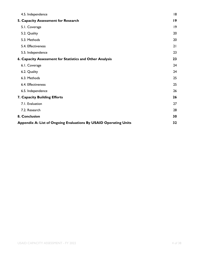| 19<br> 9<br>5.1. Coverage<br>20<br>5.2. Quality<br>5.3. Methods<br>20<br>5.4. Effectiveness<br>21<br>23<br>5.5. Independence<br>23<br>24<br>6.1. Coverage<br>24<br>6.2. Quality<br>6.3. Methods<br>25<br>6.4. Effectiveness<br>25<br>26<br>6.5. Independence<br>26<br>27<br>7.1. Evaluation<br>7.2. Research<br>28<br>30<br>32 | 4.5. Independence                                                | 18 |
|--------------------------------------------------------------------------------------------------------------------------------------------------------------------------------------------------------------------------------------------------------------------------------------------------------------------------------|------------------------------------------------------------------|----|
|                                                                                                                                                                                                                                                                                                                                | 5. Capacity Assessment for Research                              |    |
|                                                                                                                                                                                                                                                                                                                                |                                                                  |    |
|                                                                                                                                                                                                                                                                                                                                |                                                                  |    |
|                                                                                                                                                                                                                                                                                                                                |                                                                  |    |
|                                                                                                                                                                                                                                                                                                                                |                                                                  |    |
|                                                                                                                                                                                                                                                                                                                                |                                                                  |    |
|                                                                                                                                                                                                                                                                                                                                | 6. Capacity Assessment for Statistics and Other Analysis         |    |
|                                                                                                                                                                                                                                                                                                                                |                                                                  |    |
|                                                                                                                                                                                                                                                                                                                                |                                                                  |    |
|                                                                                                                                                                                                                                                                                                                                |                                                                  |    |
|                                                                                                                                                                                                                                                                                                                                |                                                                  |    |
|                                                                                                                                                                                                                                                                                                                                |                                                                  |    |
|                                                                                                                                                                                                                                                                                                                                | 7. Capacity Building Efforts                                     |    |
|                                                                                                                                                                                                                                                                                                                                |                                                                  |    |
|                                                                                                                                                                                                                                                                                                                                |                                                                  |    |
|                                                                                                                                                                                                                                                                                                                                | 8. Conclusion                                                    |    |
|                                                                                                                                                                                                                                                                                                                                | Appendix A: List of Ongoing Evaluations By USAID Operating Units |    |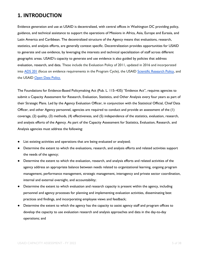# **1. INTRODUCTION**

Evidence generation and use at USAID is decentralized, with central offices in Washington DC providing policy, guidance, and technical assistance to support the operations of Missions in Africa, Asia, Europe and Eurasia, and Latin America and Caribbean. The decentralized structure of the Agency means that evaluations, research, statistics, and analysis efforts, are generally context specific. Decentralization provides opportunities for USAID to generate and use evidence, by leveraging the interests and technical specialization of staff across different geographic areas. USAID's capacity to generate and use evidence is also guided by policies that address evaluation, research, and data. These include the Evaluation Policy of 2011, updated in 2016 and incorporated into [ADS 201](https://www.usaid.gov/ads/policy/200/201) [\(](https://www.usaid.gov/ads/policy/200/201)focus on evidence requirements in the Program Cycle), the USAID [Scientific Research Policy, a](https://www.usaid.gov/sites/default/files/documents/15396/USAID%20Scientific%20Research%20Policy%2012-3-14.pdf)nd the USAID [Open Data Policy.](https://www.usaid.gov/sites/default/files/documents/1868/579.pdf)

The Foundations for Evidence-Based Policymaking Act (Pub. L. 115–435) "Evidence Act", requires agencies to submit a Capacity Assessment for Research, Evaluation, Statistics, and Other Analysis every four years as part of their Strategic Plans. Led by the Agency Evaluation Officer, in conjunction with the Statistical Official, Chief Data Officer, and other Agency personnel, agencies are required to conduct and provide an assessment of the (1) coverage, (2) quality, (3) methods, (4) effectiveness, and (5) independence of the statistics, evaluation, research, and analysis efforts of the Agency. As part of the Capacity Assessment for Statistics, Evaluation, Research, and Analysis agencies must address the following:

- List existing activities and operations that are being evaluated or analyzed;
- Determine the extent to which the evaluations, research, and analysis efforts and related activities support the needs of the agency;
- Determine the extent to which the evaluation, research, and analysis efforts and related activities of the agency address an appropriate balance between needs related to organizational learning, ongoing program management, performance management, strategic management, interagency and private sector coordination, internal and external oversight, and accountability;
- Determine the extent to which evaluation and research capacity is present within the agency, including personnel and agency processes for planning and implementing evaluation activities, disseminating best practices and findings, and incorporating employee views and feedback;
- Determine the extent to which the agency has the capacity to assist agency staff and program offices to develop the capacity to use evaluation research and analysis approaches and data in the day-to-day operations; and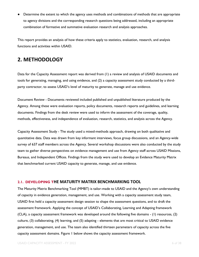Determine the extent to which the agency uses methods and combinations of methods that are appropriate to agency divisions and the corresponding research questions being addressed, including an appropriate combination of formative and summative evaluation research and analysis approaches.

This report provides an analysis of how these criteria apply to statistics, evaluation, research, and analysis functions and activities within USAID.

# **2. METHODOLOGY**

Data for the Capacity Assessment report was derived from (1) a review and analysis of USAID documents and tools for generating, managing, and using evidence, and (2) a capacity assessment study conducted by a thirdparty contractor, to assess USAID's level of maturity to generate, manage and use evidence.

Document Review - Documents reviewed included published and unpublished literature produced by the Agency. Among these were evaluation reports, policy documents, research reports and guidelines, and learning documents. Findings from the desk review were used to inform the assessment of the coverage, quality, methods, effectiveness, and independence of evaluation, research, statistics, and analysis across the Agency.

Capacity Assessment Study - The study used a mixed-methods approach, drawing on both qualitative and quantitative data. Data was drawn from key informant interviews, focus group discussions, and an Agency-wide survey of 637 staff members across the Agency. Several workshop discussions were also conducted by the study team to gather diverse perspectives on evidence management and use from Agency staff across USAID Missions, Bureaus, and Independent Offices. Findings from the study were used to develop an Evidence Maturity Matrix that benchmarked current USAID capacity to generate, manage, and use evidence.

#### <span id="page-5-0"></span>**2.1. DEVELOPING THE MATURITY MATRIX BENCHMARKING TOOL**

The Maturity Matrix Benchmarking Tool (MMBT) is tailor-made to USAID and the Agency's own understanding of capacity in evidence generation, management, and use. Working with a capacity assessment study team, USAID first held a capacity assessment design session to shape the assessment questions, and to draft the assessment framework. Applying the concept of USAID's Collaborating, Learning and Adapting framework (CLA), a capacity assessment framework was developed around the following five domains - (1) resources, (2) culture, (3) collaborating, (4) learning, and (5) adapting - elements that are most critical to USAID evidence generation, management, and use. The team also identified thirteen parameters of capacity across the five capacity assessment domains. Figure 1 below shows the capacity assessment framework.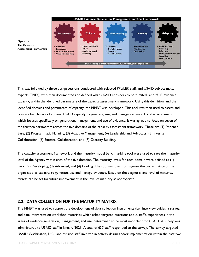



This was followed by three design sessions conducted with selected PPL/LER staff, and USAID subject matter experts (SMEs), who then documented and defined what USAID considers to be "limited" and "full" evidence capacity, within the identified parameters of the capacity assessment framework. Using this definition, and the identified domains and parameters of capacity, the MMBT was developed. This tool was then used to assess and create a benchmark of current USAID capacity to generate, use, and manage evidence. For this assessment, which focuses specifically on generation, management, and use of evidence, it was agreed to focus on seven of the thirteen parameters across the five domains of the capacity assessment framework. These are (1) Evidence Base, (2) Programmatic Planning, (3) Adaptive Management, (4) Leadership and Advocacy, (5) Internal Collaboration, (6) External Collaboration, and (7) Capacity Building.

The capacity assessment framework and the maturity model benchmarking tool were used to rate the 'maturity' level of the Agency within each of the five domains. The maturity levels for each domain were defined as (1) Basic, (2) Developing, (3) Advanced, and (4) Leading. The tool was used to diagnose the current state of the organizational capacity to generate, use and manage evidence. Based on the diagnosis, and level of maturity, targets can be set for future improvement in the level of maturity as appropriate.

#### <span id="page-6-0"></span>**2.2. DATA COLLECTION FOR THE MATURITY MATRIX**

The MMBT was used to support the development of data collection instruments (i.e., interview guides, a survey, and data interpretation workshop materials) which asked targeted questions about staff's experiences in the areas of evidence generation, management, and use, determined to be most important for USAID. A survey was administered to USAID staff in January 2021. A total of 637 staff responded to the survey. The survey targeted USAID Washington, D.C., and Mission staff involved in activity design and/or implementation within the past two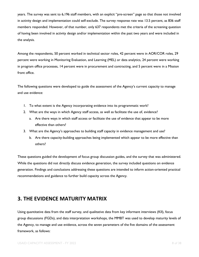years. The survey was sent to 6,196 staff members, with an explicit "pre-screen" page so that those not involved in activity design and implementation could self-exclude. The survey response rate was 13.5 percent, as 836 staff members responded. However, of that number, only 637 respondents met the criteria of the screening question of having been involved in activity design and/or implementation within the past two years and were included in the analysis.

Among the respondents, 50 percent worked in technical sector roles, 42 percent were in AOR/COR roles, 29 percent were working in Monitoring Evaluation, and Learning (MEL) or data analytics, 24 percent were working in program office processes, 14 percent were in procurement and contracting, and 5 percent were in a Mission front office.

The following questions were developed to guide the assessment of the Agency's current capacity to manage and use evidence:

- 1. To what extent is the Agency incorporating evidence into its programmatic work?
- 2. What are the ways in which Agency staff access, as well as facilitate the use of, evidence?
	- a. Are there ways in which staff access or facilitate the use of evidence that appear to be more effective than others?
- 3. What are the Agency's approaches to building staff capacity in evidence management and use?
	- b. Are there capacity-building approaches being implemented which appear to be more effective than others?

These questions guided the development of focus group discussion guides, and the survey that was administered. While the questions did not directly discuss evidence generation, the survey included questions on evidence generation. Findings and conclusions addressing these questions are intended to inform action-oriented practical recommendations and guidance to further build capacity across the Agency.

# <span id="page-7-0"></span>**3. THE EVIDENCE MATURITY MATRIX**

Using quantitative data from the staff survey, and qualitative data from key informant interviews (KII), focus group discussions (FGDs), and data interpretation workshops, the MMBT was used to develop maturity levels of the Agency, to manage and use evidence, across the seven parameters of the five domains of the assessment framework, as follows: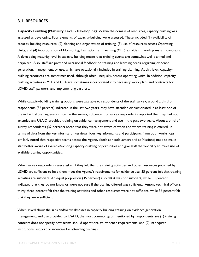#### <span id="page-8-0"></span>**3.1. RESOURCES**

**Capacity Building (Maturity Level - Developing)**: Within the domain of resources, capacity building was assessed as developing. Four elements of capacity-building were assessed. These included (1) availability of capacity-building resources, (2) planning and organization of training, (3) use of resources across Operating Units, and (4) incorporation of Monitoring, Evaluation, and Learning (MEL) activities in work plans and contracts. A developing maturity level in capacity building means that training events are somewhat well planned and organized. Also, staff are provided occasional feedback on training and learning needs regarding evidence generation, management, or use, which are occasionally included in training planning. At this level, capacitybuilding resources are sometimes used, although often unequally, across operating Units. In addition, capacitybuilding activities in MEL and CLA are sometimes incorporated into necessary work plans and contracts for USAID staff, partners, and implementing partners.

While capacity-building training options were available to respondents of the staff survey, around a third of respondents (32 percent) indicated in the last two years, they have attended or participated in at least one of the individual training events listed in the survey; 28 percent of survey respondents reported that they had not attended any USAID-provided training on evidence management and use in the past two years. About a third of survey respondents (32 percent) noted that they were not aware of when and where training is offered. In terms of data from the key informant interviews, four key informants and participants from both workshops similarly noted that respective teams across the Agency (both at headquarters and at Missions) need to make staff better aware of available/existing capacity-building opportunities and give staff the flexibility to make use of available training opportunities.

When survey respondents were asked if they felt that the training activities and other resources provided by USAID are sufficient to help them meet the Agency's requirements for evidence use, 35 percent felt that training activities are sufficient. An equal proportion (35 percent) also felt it was not sufficient, while 30 percent indicated that they do not know or were not sure if the training offered was sufficient. Among technical officers, thirty-three percent felt that the training activities and other resources were not sufficient, while 36 percent felt that they were sufficient.

When asked about the gaps and/or weaknesses in capacity building training on evidence generation, management, and use provided by USAID, the most common gaps mentioned by respondents are (1) training contents does not specify how teams should operationalize evidence requirements; and (2) inadequate institutional support or incentive for attending trainings.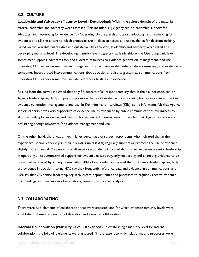#### <span id="page-9-0"></span>**3.2. CULTURE**

**Leadership and Advocacy (Maturity Level - Developing):** Within the culture domain of the maturity matrix, leadership and advocacy were assessed. This included, (1) Agency senior leadership support for advocacy, and resourcing for evidence; (2) Operating Unit leadership support, advocacy, and resourcing for evidence; and (3) the extent to which processes are in place to access and use evidence for decision-making. Based on the available quantitative and qualitative data analyzed, leadership and advocacy were rated at a developing maturity level. The developing maturity level suggests that leadership at the Operating Unit level sometimes supports, advocates for, and allocates resources to evidence generation, management, and use. Operating Unit leaders sometimes encourage and/or incentivize evidence-based decision-making, and evidence is sometimes incorporated into communications about decisions. It also suggests that communications from Operating Unit leaders sometimes include references to data and evidence.

Results from the survey indicated that only 36 percent of all respondents say that in their experience, senior Agency leadership regularly support or promote the use of evidence, by advocating for resource investment in evidence generation, management, and use. In Key Informant Interviews (KIIs), some informants felt that Agency senior leadership was very supportive of evidence use as evidenced by public communications, willingness to allocate funding for evidence, and demand for evidence. However, most others felt that Agency leaders were not strong enough advocates for evidence management and use.

On the other hand, there was a much higher percentage of survey respondents who indicated that in their experience, senior leadership in their operating units (OUs) regularly support or promote the use of evidence. Slightly more than half (52 percent) of all survey respondents indicated that in their experience senior leadership in operating units demonstrated support for evidence use, by regularly requesting and expecting evidence to be presented or shared by activity teams. Also, 48% of respondents indicated that OU senior leadership regularly use evidence in decision making, 47% say they frequently reference data and evidence in communications, and 45% say that OU senior leadership regularly create opportunities and processes to regularly receive evidence from findings and conclusions of evaluations, research, and other analysis.

#### <span id="page-9-1"></span>**3.3. COLLABORATING**

There were two elements of collaboration that were assessed, and for which evidence maturity levels were established. These are internal collaboration and external collaboration.

**Internal Collaboration (Maturity Level - Advanced):** In establishing a maturity level for internal collaboration, the following elements were assessed: (1) the extent to which platforms and processes were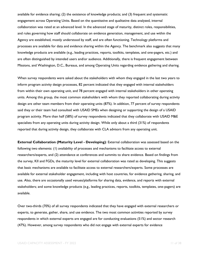available for evidence sharing; (2) the existence of knowledge products; and (3) frequent and systematic engagement across Operating Units. Based on the quantitative and qualitative data analyzed, internal collaboration was rated at an advanced level. In the advanced stage of maturity, distinct roles, responsibilities, and rules governing how staff should collaborate on evidence generation, management, and use within the Agency are established, mostly understood by staff, and are often functioning. Technology platforms and processes are available for data and evidence sharing within the Agency. The benchmark also suggests that many knowledge products are available (e.g., leading practices, reports, toolkits, templates, and one-pagers, etc.) and are often distinguished by intended users and/or audience. Additionally, there is frequent engagement between Missions, and Washington, D.C., Bureaus, and among Operating Units regarding evidence gathering and sharing.

When survey respondents were asked about the stakeholders with whom they engaged in the last two years to inform program activity design processes, 82 percent indicated that they engaged with internal stakeholders from within their own operating unit, and 78 percent engaged with internal stakeholders in other operating units. Among this group, the most common stakeholders with whom they reported collaborating during activity design are other team members from their operating units (87%). In addition, 77 percent of survey respondents said they or their team had consulted with USAID SMEs when designing or supporting the design of a USAID program activity. More than half (58%) of survey respondents indicated that they collaborate with USAID M&E specialists from any operating units during activity design. While only about a third (31%) of respondents reported that during activity design, they collaborate with CLA advisors from any operating unit.

**External Collaboration (Maturity Level - Developing)**: External collaboration was assessed based on the following two elements: (1) availability of processes and mechanisms to facilitate access to external researchers/experts, and (2) attendance at conferences and summits to share evidence. Based on findings from the survey, KII and FGDs, the maturity level for external collaboration was rated as developing. This suggests that basic mechanisms are available to facilitate access to external researchers/experts. Some processes are available for external stakeholder engagement, including with host countries, for evidence gathering, sharing, and use. Also, there are occasionally used venues/platforms for sharing data, evidence, and reports with external stakeholders; and some knowledge products (e.g., leading practices, reports, toolkits, templates, one-pagers) are available.

Over two-thirds (70%) of all survey respondents indicated that they have engaged with external researchers or experts, to generate, gather, share, and use evidence. The two most common activities reported by survey respondents in which external experts are engaged are for conducting evaluations (51%) and sector research (47%). However, among survey respondents who did not engage with external experts for evidence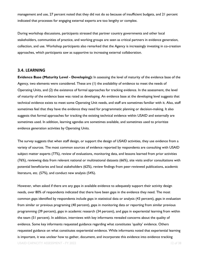management and use, 27 percent noted that they did not do so because of insufficient budgets, and 21 percent indicated that processes for engaging external experts are too lengthy or complex.

During workshop discussions, participants stressed that partner country governments and other local stakeholders, communities of practice, and working groups are seen as critical partners in evidence generation, collection, and use. Workshop participants also remarked that the Agency is increasingly investing in co-creation approaches, which participants saw as supportive to increasing external collaboration.

#### <span id="page-11-0"></span>**3.4. LEARNING**

**Evidence Base (Maturity Level - Developing):** In assessing the level of maturity of the evidence base of the Agency, two elements were considered. These are (1) the availability of evidence to meet the needs of Operating Units, and (2) the existence of formal approaches for tracking evidence. In the assessment, the level of maturity of the evidence base was rated as developing. An evidence base at the developing level suggests that technical evidence exists to meet some Operating Unit needs, and staff are sometimes familiar with it. Also, staff sometimes feel that they have the evidence they need for programmatic planning or decision-making. It also suggests that formal approaches for tracking the existing technical evidence within USAID and externally are sometimes used. In addition, learning agendas are sometimes available, and sometimes used to prioritize evidence generation activities by Operating Units.

The survey suggests that when staff design, or support the design of USAID activities, they use evidence from a variety of sources. The most common sources of evidence reported by respondents are consulting with USAID subject matter experts (77%), review of evaluations, monitoring data, and lessons learned from prior activities (76%), reviewing data from relevant national or multinational datasets (66%), site visits and/or consultations with potential beneficiaries and local stakeholders (62%), review findings from peer-reviewed publications, academic literature, etc. (57%), and conduct new analysis (54%).

However, when asked if there are any gaps in available evidence to adequately support their activity design needs, over 80% of respondents indicated that there have been gaps in the evidence they need. The most common gaps identified by respondents include gaps in statistical data or analysis (43 percent), gaps in evaluation from similar or previous programing (40 percent), gaps in monitoring data or reporting from similar previous programming (39 percent), gaps in academic research (34 percent), and gaps in experiential learning from within the team (51 percent). In addition, interviews with key informants revealed concerns about the quality of evidence. Some key informants requested guidance regarding what constitutes 'quality' evidence. Others requested guidance on what constitutes experiential evidence. While informants noted that experiential learning is important, it was unclear how to gather, document, and incorporate this evidence into evidence tracking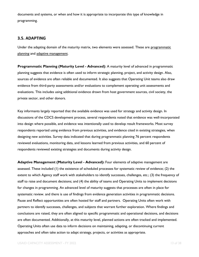documents and systems, or when and how it is appropriate to incorporate this type of knowledge in programming.

#### <span id="page-12-0"></span>**3.5. ADAPTING**

Under the adapting domain of the maturity matrix, two elements were assessed. These are programmatic planning and adaptive management.

**Programmatic Planning (Maturity Level - Advanced)**: A maturity level of advanced in programmatic planning suggests that evidence is often used to inform strategic planning, project, and activity design. Also, sources of evidence are often reliable and documented. It also suggests that Operating Unit teams also draw evidence from third-party assessments and/or evaluations to complement operating unit assessments and evaluations. This includes using additional evidence drawn from host government sources, civil society, the private sector, and other donors.

Key informants largely reported that the available evidence was used for strategy and activity design. In discussions of the CDCS development process, several respondents noted that evidence was well-incorporated into design where possible, and evidence was intentionally used to develop result frameworks. Most survey respondents reported using evidence from previous activities, and evidence cited in existing strategies, when designing new activities. Survey data indicated that during programmatic planning 76 percent respondents reviewed evaluations, monitoring data, and lessons learned from previous activities, and 60 percent of respondents reviewed existing strategies and documents during activity design.

**Adaptive Management (Maturity Level - Advanced):** Four elements of adaptive management are assessed. These included (1) the existence of scheduled processes for systematic review of evidence; (2) the extent to which Agency staff work with stakeholders to identify successes, challenges, etc.; (3) the frequency of staff to raise and document decisions; and (4) the ability of teams and Operating Units to implement decisions for changes in programming. An advanced level of maturity suggests that processes are often in place for systematic review. and there is use of findings from evidence generation activities in programmatic decisions. Pause and Reflect opportunities are often hosted for staff and partners. Operating Units often work with partners to identify successes, challenges, and subjects that warrant further exploration. Where findings and conclusions are raised, they are often aligned to specific programmatic and operational decisions, and decisions are often documented. Additionally, at this maturity level, planned actions are often tracked and implemented. Operating Units often use data to inform decisions on maintaining, adapting, or discontinuing current approaches and often take action to adapt strategy, projects, or activities as appropriate.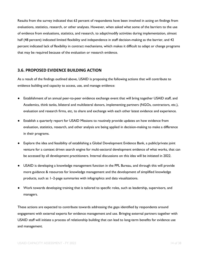Results from the survey indicated that 63 percent of respondents have been involved in acting on findings from evaluations, statistics, research, or other analyses. However, when asked what some of the barriers to the use of evidence from evaluations, statistics, and research, to adapt/modify activities during implementation, almost half (48 percent) indicated limited flexibility and independence in staff decision-making as the barrier, and 42 percent indicated lack of flexibility in contract mechanisms, which makes it difficult to adapt or change programs that may be required because of the evaluation or research evidence.

#### <span id="page-13-0"></span>**3.6. PROPOSED EVIDENCE BUILDING ACTION**

As a result of the findings outlined above, USAID is proposing the following actions that will contribute to evidence building and capacity to access, use, and manage evidence:

- Establishment of an annual peer-to-peer evidence exchange event that will bring together USAID staff, and Academics, think tanks, bilateral and multilateral donors, implementing partners (NGOs, contractors, etc.), evaluation and research firms, etc, to share and exchange with each other latest evidence and experience.
- Establish a quarterly report for USAID Missions to routinely provide updates on how evidence from evaluation, statistics, research, and other analysis are being applied in decision-making to make a difference in their programs.
- Explore the idea and feasibility of establishing a Global Development Evidence Bank, a public/private joint venture for a context driven search engine for multi-sectoral development evidence of what works, that can be accessed by all development practitioners. Internal discussions on this idea will be initiated in 2022.
- USAID is developing a knowledge management function in the PPL Bureau, and through this will provide more guidance & resources for knowledge management and the development of simplified knowledge products, such as 1–2-page summaries with infographics and data visualizations.
- Work towards developing training that is tailored to specific roles, such as leadership, supervisors, and managers.

These actions are expected to contribute towards addressing the gaps identified by respondents around engagement with external experts for evidence management and use. Bringing external partners together with USAID staff will initiate a process of relationship building that can lead to long-term benefits for evidence use and management.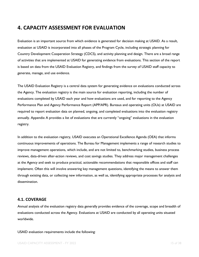# <span id="page-14-0"></span>**4. CAPACITY ASSESSMENT FOR EVALUATION**

Evaluation is an important source from which evidence is generated for decision making at USAID. As a result, evaluation at USAID is incorporated into all phases of the Program Cycle, including strategic planning for Country Development Cooperation Strategy (CDCS), and activity planning and design. There are a broad range of activities that are implemented at USAID for generating evidence from evaluations. This section of the report is based on data from the USAID Evaluation Registry, and findings from the survey of USAID staff capacity to generate, manage, and use evidence.

The USAID Evaluation Registry is a central data system for generating evidence on evaluations conducted across the Agency. The evaluation registry is the main source for evaluation reporting, including the number of evaluations completed by USAID each year and how evaluations are used, and for reporting to the Agency Performance Plan and Agency Performance Report (APP/APR). Bureaus and operating units (OUs) at USAID are required to report evaluation data on planned, ongoing, and completed evaluations into the evaluation registry annually. Appendix A provides a list of evaluations that are currently "ongoing" evaluations in the evaluation registry.

In addition to the evaluation registry, USAID executes an Operational Excellence Agenda (OEA) that informs continuous improvements of operations. The Bureau for Management implements a range of research studies to improve management operations, which include, and are not limited to, benchmarking studies, business process reviews, data-driven after-action reviews, and cost savings studies. They address major management challenges at the Agency and seek to produce practical, actionable recommendations that responsible offices and staff can implement. Often this will involve answering key management questions, identifying the means to answer them through existing data, or collecting new information, as well as, identifying appropriate processes for analysis and dissemination.

#### <span id="page-14-1"></span>**4.1. COVERAGE**

Annual analysis of the evaluation registry data generally provides evidence of the coverage, scope and breadth of evaluations conducted across the Agency. Evaluations at USAID are conducted by all operating units situated worldwide.

#### USAID evaluation requirements include the following: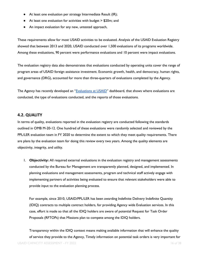- At least one evaluation per strategy Intermediate Result (IR);
- At least one evaluation for activities with budget > \$20m; and
- An impact evaluation for any new, untested approach,

These requirements allow for most USAID activities to be evaluated. Analysis of the USAID Evaluation Registry showed that between 2013 and 2020, USAID conducted over 1,500 evaluations of its programs worldwide. Among these evaluations, 90 percent were performance evaluations and 10 percent were impact evaluations.

The evaluation registry data also demonstrates that evaluations conducted by operating units cover the range of program areas of USAID foreign assistance investment. Economic growth, health, and democracy, human rights, and governance (DRG), accounted for more than three-quarters of evaluations completed by the Agency.

The Agency has recently developed an "[Evaluations at USAID](https://share.usaid.gov/views/LEREvaluationRegistryDashboard/MapView?%3Aiid=2&%3AisGuestRedirectFromVizportal=y&%3Aembed=y)" dashboard, that shows where evaluations are conducted, the type of evaluations conducted, and the reports of those evaluations.

#### <span id="page-15-0"></span>**4.2. QUALITY**

In terms of quality, evaluations reported in the evaluation registry are conducted following the standards outlined in OMB M-20-12. One hundred of these evaluations were randomly selected and reviewed by the PPL/LER evaluation team in FY 2020 to determine the extent to which they meet quality requirements. There are plans by the evaluation team for doing this review every two years. Among the quality elements are objectivity, integrity, and utility.

1. **Objectivity:** All required external evaluations in the evaluation registry and management assessments conducted by the Bureau for Management are transparently planned, designed, and implemented. In planning evaluations and management assessments, program and technical staff actively engage with implementing partners of activities being evaluated to ensure that relevant stakeholders were able to provide input to the evaluation planning process.

For example, since 2010, USAID/PPL/LER has been awarding Indefinite Delivery Indefinite Quantity (IDIQ) contracts to multiple contract holders, for providing Agency wide Evaluation services. In this case, effort is made so that all the IDIQ holders are aware of potential Request for Task Order Proposals (RFTOPs) that Missions plan to compete among the IDIQ holders.

USAID CAPACITY ASSESSMENT - FY 2022 16 of 38 and 2012 16 of 38 Transparency within the IDIQ context means making available information that will enhance the quality of service they provide to the Agency, Timely information on potential task orders is very important for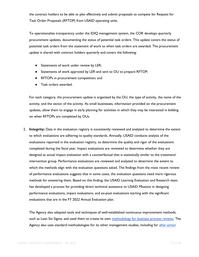the contract holders to be able to plan effectively and submit proposals to compete for Request for Task Order Proposals (RFTOP) from USAID operating units.

To operationalize transparency under the IDIQ management system, the COR develops quarterly procurement updates, documenting the status of potential task orders. This update covers the status of potential task orders from the statement of work to when task orders are awarded. The procurement update is shared with contract holders quarterly and covers the following:

- Statements of work under review by LER;
- Statements of work approved by LER and sent to OU to prepare RFTOP;
- RFTOPs in procurement competition; and
- Task orders awarded.

For each category, the procurement update is organized by the OU, the type of activity, the name of the activity, and the sector of the activity. As small businesses, information provided on the procurement updates, allow them to engage in early planning for activities in which they may be interested in bidding on when RFTOPs are completed by OUs.

2. **Integrity:** Data in the evaluation registry is consistently reviewed and analyzed to determine the extent to which evaluations are adhering to quality standards. Annually, USAID conducts analysis of the evaluations reported in the evaluation registry, to determine the quality and rigor of the evaluations completed during the fiscal year. Impact evaluations are reviewed to determine whether they are designed as actual impact evaluation with a counterfactual that is statistically similar to the treatment/ intervention group. Performance evaluations are reviewed and analyzed to determine the extent to which the methods align with the evaluation questions asked. The findings from the most recent review of performance evaluations suggests that in some cases, the evaluation questions need more rigorous methods for answering them. Based on this finding, the USAID Learning Evaluation and Research team has developed a process for providing direct technical assistance to USAID Missions in designing performance evaluations, impact evaluations, and ex-post evaluations starting with the significant evaluations that are in the FY 2022 Annual Evaluation plan.

The Agency also adopted tools and techniques of well-established continuous improvement methods, such as Lean Six Sigma, and used them to create its own [methodology for business process reviews.](https://pdf.usaid.gov/pdf_docs/PA00X2N6.pdf) The Agency also uses standard methodologies for its other management studies, including for after-action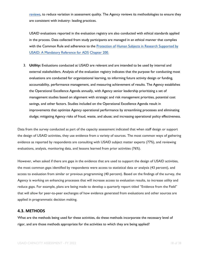[reviews,](https://pdf.usaid.gov/pdf_docs/PNADF360.pdf) to reduce variation in assessment quality. The Agency reviews its methodologies to ensure they are consistent with industry- leading practices.

USAID evaluations reported in the evaluation registry are also conducted with ethical standards applied in the process. Data collected from study participants are managed in an ethical manner that complies with the Common Rule and adherence to the [Protection of](https://www.usaid.gov/sites/default/files/documents/1864/200mbe.pdf) Human Subjects in Research Supported by [USAID: A Mandatory Reference for ADS](https://www.usaid.gov/sites/default/files/documents/1864/200mbe.pdf) [Chapter](https://www.usaid.gov/sites/default/files/documents/1864/200mbe.pdf) 200.

3. **Utility:** Evaluations conducted at USAID are relevant and are intended to be used by internal and external stakeholders. Analysis of the evaluation registry indicates that the purpose for conducting most evaluations are conducted for organizational learning, to informing future activity design or funding, accountability, performance management, and measuring achievement of results. The Agency establishes the Operational Excellence Agenda annually, with Agency senior leadership prioritizing a set of management studies based on alignment with strategic and risk management priorities, potential cost savings, and other factors. Studies included on the Operational Excellence Agenda result in improvements that optimize Agency operational performance by streamlining processes and eliminating sludge; mitigating Agency risks of fraud, waste, and abuse; and increasing operational policy effectiveness.

Data from the survey conducted as part of the capacity assessment indicated that when staff design or support the design of USAID activities, they use evidence from a variety of sources. The most common ways of gathering evidence as reported by respondents are consulting with USAID subject matter experts (77%), and reviewing evaluations, analysis, monitoring data, and lessons learned from prior activities (76%).

However, when asked if there are gaps in the evidence that are used to support the design of USAID activities, the most common gaps identified by respondents were access to statistical data or analysis (43 percent), and access to evaluation from similar or previous programming (40 percent). Based on the findings of the survey, the Agency is working on enhancing processes that will increase access to evaluation results, to increase utility and reduce gaps. For example, plans are being made to develop a quarterly report titled "Evidence from the Field" that will allow for peer-to-peer exchanges of how evidence generated from evaluations and other sources are applied in programmatic decision making.

#### <span id="page-17-0"></span>**4.3. METHODS**

What are the methods being used for these activities, do these methods incorporate the necessary level of rigor, and are those methods appropriate for the activities to which they are being applied?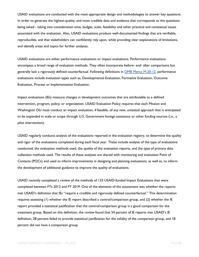USAID evaluations are conducted with the most appropriate design and methodologies to answer key questions in order to generate the highest-quality, and most credible data and evidence that corresponds to the questions being asked - taking into consideration time, budget, scale, feasibility and other practical and contextual issues associated with the evaluation. Also, USAID evaluations produce well-documented findings that are verifiable, reproducible, and that stakeholders can confidently rely upon, while providing clear explanations of limitations, and identify areas and topics for further analyses.

USAID evaluations are either performance evaluations or impact evaluations. Performance evaluations encompass a broad range of evaluation methods. They often incorporate before- and- after comparisons but generally lack a rigorously defined counterfactual. Following definitions in [OMB Memo M-20-12,](https://www.whitehouse.gov/wp-content/uploads/2020/03/M-20-12.pdf) performance evaluations include evaluation types such as, Developmental Evaluation, Formative Evaluation, Outcome Evaluation, Process or Implementation Evaluation.

Impact evaluations (IEs) measure changes in development outcomes that are attributable to a defined intervention, program, policy, or organization. USAID Evaluation Policy requires that each Mission and Washington OU must conduct an impact evaluation, if feasible, of any new, untested approach that is anticipated to be expanded in scale or scope through U.S. Government foreign assistance or other funding sources (i.e., a pilot intervention).

USAID regularly conducts analysis of the evaluations reported in the evaluation registry, to determine the quality and rigor of the evaluations completed during each fiscal year. These include analysis of the type of evaluations conducted, the evaluation methods used, the quality of the evaluation reports, and the type of primary data collection methods used. The results of these analyses are shared with monitoring and evaluation Point of Contacts (POCs) and used to inform improvements in designing and planning evaluations, as well as, to inform the development of additional guidance to improve the quality of evaluations.

USAID recently completed a review of the methods of 133 USAID-funded Impact Evaluations that were completed between FYs 2012 and FY 2019. One of the elements of the assessment was whether the reports met USAID's definition that IEs "require a credible and rigorously defined counterfactual." This determination requires assessing (1) whether the IE report described a control/comparison group, and (2) whether the IE report provided a statistical justification that the control/comparison group is a good comparison for the treatment group. Based on this definition, the review found that 54 percent of IE reports met USAID's IE definition, 28 percent failed to provide statistical justification for the validity of the comparison group, and 18 percent did not have a comparison group.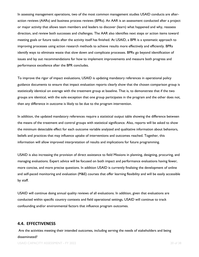In assessing management operations, two of the most common management studies USAID conducts are afteraction reviews (AARs) and business process reviews (BPRs). An AAR is an assessment conducted after a project or major activity that allows team members and leaders to discover (learn) what happened and why, reassess direction, and review both successes and challenges. The AAR also identifies next steps or action items toward meeting goals or future tasks after the activity itself has finished. At USAID, a BPR is a systematic approach to improving processes using action research methods to achieve results more effectively and efficiently. BPRs identify ways to eliminate waste that slow down and complicate processes. BPRs go beyond identification of issues and lay out recommendations for how to implement improvements and measure both progress and performance excellence after the BPR concludes.

To improve the rigor of impact evaluations, USAID is updating mandatory references in operational policy guidance documents to ensure that impact evaluation reports clearly show that the chosen comparison group is statistically identical on average with the treatment group at baseline. That is, to demonstrate that if the two groups are identical, with the sole exception that one group participates in the program and the other does not, then any difference in outcome is likely to be due to the program intervention.

In addition, the updated mandatory references require a statistical output table showing the difference between the means of the treatment and control groups with statistical significance. Also, reports will be asked to show the minimum detectable effect for each outcome variable analyzed and qualitative information about behaviors, beliefs and practices that may influence uptake of interventions and outcomes reached. Together, this information will allow improved interpretation of results and implications for future programming.

USAID is also increasing the provision of direct assistance to field Missions in planning, designing, procuring, and managing evaluations. Expert advice will be focused on both impact and performance evaluations having fewer, more concise, and more precise questions. In addition USAID is currently finalizing the development of online and self-paced monitoring and evaluation (M&E) courses that offer learning flexibility and will be easily accessible by staff.

USAID will continue doing annual quality reviews of all evaluations. In addition, given that evaluations are conducted within specific country contexts and field operational settings, USAID will continue to track confounding and/or environmental factors that influence program outcomes.

#### <span id="page-19-0"></span>**4.4. EFFECTIVENESS**

Are the activities meeting their intended outcomes, including serving the needs of stakeholders and being disseminated?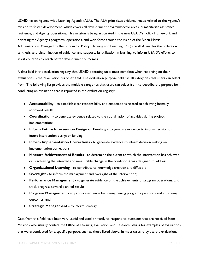USAID has an Agency-wide Learning Agenda (ALA). The ALA prioritizes evidence needs related to the Agency's mission to foster development, which covers all development program/sector areas, humanitarian assistance, resilience, and Agency operations. This mission is being articulated in the new USAID's Policy Framework and orienting the Agency's programs, operations, and workforce around the vision of the Biden-Harris Administration. Managed by the Bureau for Policy, Planning and Learning (PPL) the ALA enables the collection, synthesis, and dissemination of evidence, and supports its utilization in learning, to inform USAID's efforts to assist countries to reach better development outcomes.

A data field in the evaluation registry that USAID operating units must complete when reporting on their evaluations is the "evaluation purpose" field. The evaluation purpose field has 10 categories that users can select from. The following list provides the multiple categories that users can select from to describe the purpose for conducting an evaluation that is reported in the evaluation registry:

- **Accountability**  to establish clear responsibility and expectations related to achieving formally approved results;
- **Coordination -** to generate evidence related to the coordination of activities during project implementation;
- **Inform Future Intervention Design or Funding -** to generate evidence to inform decision on future intervention design or funding;
- **Inform Implementation Corrections -** to generate evidence to inform decision making on implementation corrections;
- **Measure Achievement of Results -** to determine the extent to which the intervention has achieved or is achieving the intended and measurable change in the condition it was designed to address;
- **Organizational Learning -** to contribute to knowledge creation and diffusion;
- **Oversight -** to inform the management and oversight of the intervention;
- **Performance Management -** to generate evidence on the achievements of program operations; and track progress toward planned results;
- **Program Management -** to produce evidence for strengthening program operations and improving outcomes; and
- **Strategic Management -** to inform strategy.

Data from this field have been very useful and used primarily to respond to questions that are received from Missions who usually contact the Office of Learning, Evaluation, and Research, asking for examples of evaluations that were conducted for a specific purpose, such as those listed above. In most cases, they use the evaluations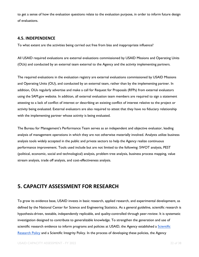to get a sense of how the evaluation questions relate to the evaluation purpose, in order to inform future design of evaluations.

#### <span id="page-21-0"></span>**4.5. INDEPENDENCE**

To what extent are the activities being carried out free from bias and inappropriate influence?

All USAID required evaluations are external evaluations commissioned by USAID Missions and Operating Units (OUs) and conducted by an external team external to the Agency and the activity implementing partners.

The required evaluations in the evaluation registry are external evaluations commissioned by USAID Missions and Operating Units (OU), and conducted by an external team, rather than by the implementing partner. In addition, OUs regularly advertise and make a call for Request for Proposals (RFPs) from external evaluators using the SAM.gov website. In addition, all external evaluation team members are required to sign a statement attesting to a lack of conflict of interest or describing an existing conflict of interest relative to the project or activity being evaluated. External evaluators are also required to attest that they have no fiduciary relationship with the implementing partner whose activity is being evaluated.

The Bureau for Management's Performance Team serves as an independent and objective evaluator, leading analysis of management operations in which they are not otherwise materially involved. Analysts utilize business analysis tools widely accepted in the public and private sectors to help the Agency realize continuous performance improvement. Tools used include but are not limited to the following: SWOT analysis, PEST (political, economic, social and technological) analysis, problem tree analysis, business process mapping, value stream analysis, trade off analysis, and cost-effectiveness analysis.

# <span id="page-21-1"></span>**5. CAPACITY ASSESSMENT FOR RESEARCH**

To grow its evidence base, USAID invests in basic research, applied research, and experimental development, as defined by the National Center for Science and Engineering Statistics. As a general guideline, scientific research is hypothesis-driven, testable, independently replicable, and quality-controlled through peer-review. It is systematic investigation designed to contribute to generalizable knowledge. To strengthen the generation and use of scientific research evidence to inform programs and policies at USAID, the Agency established a Scientific [Research Policy](https://www.usaid.gov/sites/default/files/documents/15396/USAID%20Scientific%20Research%20Policy%2012-3-14.pdf) and a Scientific Integrity Policy. In the process of developing these policies, the Agency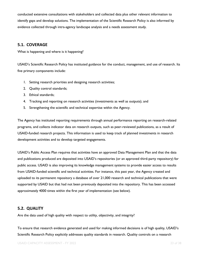conducted extensive consultations with stakeholders and collected data plus other relevant information to identify gaps and develop solutions. The implementation of the Scientific Research Policy is also informed by evidence collected through intra-agency landscape analysis and a needs assessment study.

#### <span id="page-22-0"></span>**5.1. COVERAGE**

What is happening and where is it happening?

USAID's Scientific Research Policy has instituted guidance for the conduct, management, and use of research. Its five primary components include:

- 1. Setting research priorities and designing research activities;
- 2. Quality control standards;
- 3. Ethical standards;
- 4. Tracking and reporting on research activities (investments as well as outputs); and
- 5. Strengthening the scientific and technical expertise within the Agency.

The Agency has instituted reporting requirements through annual performance reporting on research-related programs, and collects indicator data on research outputs, such as peer-reviewed publications, as a result of USAID-funded research projects. This information is used to keep track of planned investments in research development activities and to develop targeted engagements.

USAID's Public Access Plan requires that activities have an approved Data Management Plan and that the data and publications produced are deposited into USAID's repositories (or an approved third-party repository) for public access. USAID is also improving its knowledge management systems to provide easier access to results from USAID-funded scientific and technical activities. For instance, this past year, the Agency created and uploaded to its permanent repository a database of over 21,000 research and technical publications that were supported by USAID but that had not been previously deposited into the repository. This has been accessed approximately 4000 times within the first year of implementation (see below).

#### <span id="page-22-1"></span>**5.2. QUALITY**

Are the data used of high quality with respect to utility, objectivity, and integrity?

To ensure that research evidence generated and used for making informed decisions is of high quality, USAID's Scientific Research Policy explicitly addresses quality standards in research. Quality controls on a research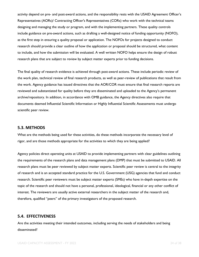activity depend on pre- and post-award actions, and the responsibility rests with the USAID Agreement Officer's Representatives (AORs)/ Contracting Officer's Representatives (CORs) who work with the technical teams designing and managing the study or program, and with the implementing partners. These quality controls include guidance on pre-award actions, such as drafting a well-designed notice of funding opportunity (NOFO), as the first step in ensuring a quality proposal or application. The NOFOs for projects designed to conduct research should provide a clear outline of how the application or proposal should be structured, what content to include, and how the submission will be evaluated. A well written NOFO helps ensure the design of robust research plans that are subject to review by subject matter experts prior to funding decisions.

The final quality of research evidence is achieved through post-award actions. These include periodic review of the work plan, technical review of final research products, as well as peer-review of publications that result from the work. Agency guidance has issued directives that the AOR/COR must ensure that final research reports are reviewed and substantiated for quality before they are disseminated and uploaded to the Agency's permanent archive/repository. In addition, in accordance with OMB guidance, the Agency directives also require that documents deemed Influential Scientific Information or Highly Influential Scientific Assessments must undergo scientific peer review.

#### <span id="page-23-0"></span>**5.3. METHODS**

What are the methods being used for these activities, do these methods incorporate the necessary level of rigor, and are those methods appropriate for the activities to which they are being applied?

Agency policies direct operating units at USAID to provide implementing partners with clear guidelines outlining the requirements of the research plans and data management plans (DMP) that must be submitted to USAID. All research plans must be peer reviewed by subject matter experts. Scientific peer review is central to the integrity of research and is an accepted standard practice for the U.S. Government (USG) agencies that fund and conduct research. Scientific peer reviewers must be subject matter experts (SMEs) who have in-depth expertise on the topic of the research and should not have a personal, professional, ideological, financial or any other conflict of interest. The reviewers are usually active external researchers in the subject matter of the research and, therefore, qualified "peers" of the primary investigators of the proposed research.

#### <span id="page-23-1"></span>**5.4. EFFECTIVENESS**

Are the activities meeting their intended outcomes, including serving the needs of stakeholders and being disseminated?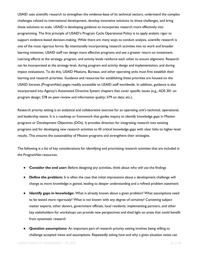USAID uses scientific research to strengthen the evidence-base of its technical sectors, understand the complex challenges related to international development, develop innovative solutions to those challenges, and bring those solutions to scale. USAID is developing guidance to incorporate research more effectively into programming. The first principle of USAID's Program Cycle Operational Policy is to apply analytic rigor to support evidence-based decision-making. While there are many ways to conduct analysis, scientific research is one of the most rigorous forms. By intentionally incorporating research activities into its work and broader learning initiatives, USAID staff can design more effective programs and see a greater return on investment. Learning efforts at the strategy, program, and activity levels reinforce each other to ensure alignment. Research can be incorporated at the strategy level, during program and activity design and implementation, and during impact evaluations. To do this, USAID Missions, Bureaus, and other operating units must first establish their learning and research priorities. Guidance and resources for establishing these priorities are housed on the USAID Intranet (ProgramNet) pages readily accessible to USAID staff worldwide. In addition, guidance is also incorporated into Agency's Automated Directive System chapters that cover specific issues (e.g., ADS 201 on program design; 578 on peer-review and information quality; 579 on data; etc.).

Research priority setting is an analytical and collaborative exercise for an operating unit's technical, operational, and leadership teams. It is a roadmap or framework that guides inquiry to identify knowledge gaps in Mission programs or Development Objectives (DOs). It provides direction for integrating research into existing programs and for developing new research activities to fill critical knowledge gaps with clear links to higher-level results. This ensures the sustainability of Mission programs and strengthens their strategies.

The following is a list of key considerations for identifying and prioritizing research activities that are included in the ProgramNet resources:

- **Consider the end user:** Before designing any activities, think about who will use the findings
- **Define the problem:** It is often the case that initial impressions about a development challenge will change as more knowledge is gained, leading to deeper understanding and a refined problem statement
- **Identify gaps in knowledge:** What is already known about a given problem? What assumptions need to be tested more rigorously? What is not known with any degree of certainty? Convening subject matter experts, other donors, government officials, local residents, implementing partners, and other key stakeholders for workshops can provide new perspectives and shed light on areas that could benefit from systematic research
- **Question assumptions:** An important part of research priority setting involves being willing to challenge accepted views and assumptions. Repeatedly asking how and why a given situation exists can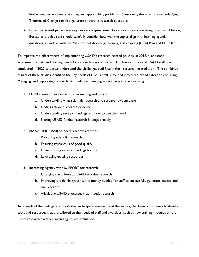lead to new ways of understanding and approaching problems. Questioning the assumptions underlying Theories of Change can also generate important research questions

● **Formulate and prioritize key research questions**: As research topics are being proposed, Mission, Bureau, and office staff should carefully consider how well the topics align with learning agenda questions, as well as with the Mission's collaborating, learning, and adapting (CLA) Plan and MEL Plans.

To improve the effectiveness of implementing USAID's research-related policies, in 2018, a landscape assessment of data and training needs for research was conducted. A follow-on survey of USAID staff was conducted in 2020 to better understand the challenges staff face in their research-related work. The combined results of these studies identified the key needs of USAID staff. Grouped into three broad categories of Using, Managing, and Supporting research, staff indicated needing assistance with the following:

- 1. USING research evidence in programming and policies
	- a. Understanding what scientific research and research evidence are
	- b. Finding relevant research evidence
	- c. Understanding research findings and how to use them well
	- d. Sharing USAID-funded research findings broadly
- 2. MANAGING USAID-funded research activities
	- a. Procuring scientific research
	- b. Ensuring research is of good quality
	- c. Disseminating research findings for use
	- d. Leveraging existing resources
- 3. Increasing Agency-wide SUPPORT for research
	- a. Changing the culture at USAID to value research
	- b. Improving the flexibility, time, and money needed for staff to successfully generate, access, and use research
	- c. Alleviating USAID processes that impede research

As a result of the findings from both the landscape assessment and the survey, the Agency continues to develop tools and resources that are tailored to the needs of staff and awardees, such as new training modules on the use of research evidence, including impact evaluations.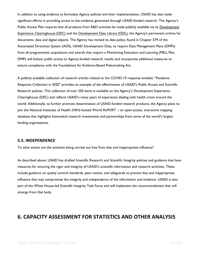In addition to using evidence to formulate Agency policies and their implementation, USAID has also made significant efforts in providing access to the evidence generated through USAID-funded research. The Agency's Public Access Plan requires that all products from R&D activities be made publicly available via its [Development](https://dec.usaid.gov/dec/home/Default.aspx)  [Experience Clearinghouse \(DEC\)](https://dec.usaid.gov/dec/home/Default.aspx) and the [Development Data](https://data.usaid.gov/) [Library \(DDL\),](https://data.usaid.gov/) the Agency's permanent archive for documents, data and digital objects. The Agency has revised its data policy, found in Chapter 579 of the Automated Directives System (ADS), USAID Development Data, to require Data Management Plans (DMPs) from all programmatic acquisitions and awards that require a Monitoring Evaluation and Learning (MEL) Plan. DMPs will bolster public access to Agency-funded research results and incorporate additional measures to ensure compliance with the Foundations for Evidence-Based Policymaking Act.

A publicly available collection of research articles related to the COVID-19 response entitled, "Pandemic Response Collection in 2020" provides an example of the effectiveness of USAID's Public Access and Scientific Research policies. This collection of over 250 items is available on the Agency's Development Experience Clearinghouse (DEC) and reflects USAID's many years of experience dealing with health crises around the world. Additionally, to further promote dissemination of USAID-funded research products, the Agency plans to join the National Institutes of Health (NIH)-hosted World RePORT -- an open-access, interactive mapping database that highlights biomedical research investments and partnerships from some of the world's largest funding organizations.

#### <span id="page-26-0"></span>**5.5. INDEPENDENCE**

To what extent are the activities being carried out free from bias and inappropriate influence?

As described above, USAID has drafted Scientific Research and Scientific Integrity policies and guidance that have measures for ensuring the rigor and integrity of USAID's scientific information and research activities. These include guidance on quality control standards, peer-review, and safeguards to prevent bias and inappropriate influence that may compromise the integrity and independence of the information and evidence. USAID is also part of the White House-led Scientific Integrity Task Force and will implement the recommendations that will emerge from that body.

### <span id="page-26-1"></span>**6. CAPACITY ASSESSMENT FOR STATISTICS AND OTHER ANALYSIS**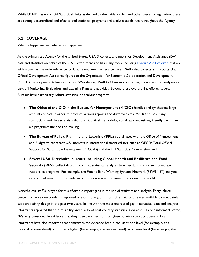While USAID has no official Statistical Units as defined by the Evidence Act and other pieces of legislation, there are strong decentralized and often siloed statistical programs and analytic capabilities throughout the Agency.

#### <span id="page-27-0"></span>**6.1. COVERAGE**

What is happening and where is it happening?

As the primary aid Agency for the United States, USAID collects and publishes Development Assistance (DA) data and statistics on behalf of the U.S. Government and has many tools, including [Foreign Aid Explorer,](https://explorer.usaid.gov/cd) that are widely used as the main reference for U.S. development assistance data. USAID also collects and reports U.S. Official Development Assistance figures to the Organization for Economic Co-operation and Development (OECD) Development Advisory Council. Worldwide, USAID's Missions conduct rigorous statistical analyses as part of Monitoring, Evaluation, and Learning Plans and activities. Beyond these overarching efforts, several Bureaus have particularly robust statistical or analytic programs:

- **The Office of the CIO in the Bureau for Management (M/CIO)** handles and synthesizes large amounts of data in order to produce various reports and drive websites. M/CIO houses many statisticians and data scientists that use statistical methodology to draw conclusions, identify trends, and aid programmatic decision-making;
- **The Bureau of Policy, Planning and Learning (PPL)** coordinates with the Office of Management and Budget to represent U.S. interests in international statistical fora such as OECD/ Total Official Support for Sustainable Development (TOSSD) and the UN Statistical Commission; and
- **Several USAID technical bureaus, including Global Health and Resilience and Food Security (RFS),** collect data and conduct statistical analyses to understand trends and formulate responsive programs. For example, the Famine Early Warning Systems Network (FEWSNET) analyzes data and information to provide an outlook on acute food insecurity around the world.

Nonetheless, staff surveyed for this effort did report gaps in the use of statistics and analysis. Forty- three percent of survey respondents reported one or more gaps in statistical data or analyses available to adequately support activity design in the past two years. In line with the most expressed gap in statistical data and analyses, informants reported that the reliability and quality of host country statistics is variable – as one informant stated, "It's very questionable evidence that they base their decisions on given country statistics". Several key informants have also reported that sometimes the evidence base is robust at one level (for example, at a national or meso-level) but not at a higher (for example, the regional level) or a lower level (for example, the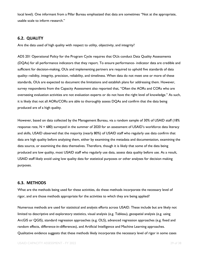local level). One informant from a Pillar Bureau emphasized that data are sometimes "Not at the appropriate, usable scale to inform research."

#### <span id="page-28-0"></span>**6.2. QUALITY**

Are the data used of high quality with respect to utility, objectivity, and integrity?

ADS 201 Operational Policy for the Program Cycle requires that OUs conduct Data Quality Assessments (DQAs) for all performance indicators that they report. To ensure performance- indicator data are credible and sufficient for decision-making, OUs and implementing partners are required to uphold five standards of data quality--validity, integrity, precision, reliability, and timeliness. When data do not meet one or more of these standards, OUs are expected to document the limitations and establish plans for addressing them. However, survey respondents from the Capacity Assessment also reported that, "Often the AORs and CORs who are overseeing evaluation activities are not evaluation experts or do not have the right level of knowledge." As such, it is likely that not all AORs/CORs are able to thoroughly assess DQAs and confirm that the data being produced are of a high quality.

However, based on data collected by the Management Bureau, via a random sample of 30% of USAID staff (18% response rate,  $N = 680$ ) surveyed in the summer of 2020 for an assessment of USAID's workforce data literacy and skills, USAID observed that the majority (nearly 80%) of USAID staff who regularly use data confirm that data are high quality before analyzing them, either by examining the metadata and documentation, examining the data source, or examining the data themselves. Therefore, though it is likely that some of the data being produced are low quality, most USAID staff who regularly use data, assess data quality before use. As a result, USAID staff likely avoid using low quality data for statistical purposes or other analyses for decision making purposes.

#### <span id="page-28-1"></span>**6.3. METHODS**

What are the methods being used for these activities, do these methods incorporate the necessary level of rigor, and are those methods appropriate for the activities to which they are being applied?

Numerous methods are used for statistical and analysis efforts across USAID. These include but are likely not limited to descriptive and exploratory statistics, visual analysis (e.g. Tableau), geospatial analysis (e.g. using ArcGIS or QGIS), standard regression approaches (e.g. OLS), advanced regression approaches (e.g. fixed and random effects, difference-in-differences), and Artificial Intelligence and Machine Learning approaches. Qualitative evidence suggests that these methods likely incorporate the necessary level of rigor in some cases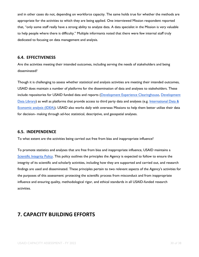and in other cases do not, depending on workforce capacity. The same holds true for whether the methods are appropriate for the activities to which they are being applied. One interviewed Mission respondent reported that, "only some staff really have a strong ability to analyze data. A data specialist in the Mission is very valuable to help people where there is difficulty." Multiple informants noted that there were few internal staff truly dedicated to focusing on data management and analysis.

#### <span id="page-29-0"></span>**6.4. EFFECTIVENESS**

Are the activities meeting their intended outcomes, including serving the needs of stakeholders and being disseminated?

Though it is challenging to assess whether statistical and analysis activities are meeting their intended outcomes, USAID does maintain a number of platforms for the dissemination of data and analyses to stakeholders. These include repositories for USAID funded data and reports [\(Development Experience Clearinghouse,](https://dec.usaid.gov/dec/content/search.aspx) [Development](https://data.usaid.gov/)  [Data Library\)](https://data.usaid.gov/) as well as platforms that provide access to third party data and analyses (e.g. International Data & [Economic analysis \(IDEA\)\)](https://idea.usaid.gov/). USAID also works daily with overseas Missions to help them better utilize their data for decision- making through ad-hoc statistical, descriptive, and geospatial analyses.

#### <span id="page-29-1"></span>**6.5. INDEPENDENCE**

To what extent are the activities being carried out free from bias and inappropriate influence?

To promote statistics and analyses that are free from bias and inappropriate influence, USAID maintains a [Scientific Integrity Policy.](https://www.usaid.gov/sites/default/files/documents/15396/integrity.pdf) This policy outlines the principles the Agency is expected to follow to ensure the integrity of its scientific and scholarly activities, including how they are supported and carried out, and research findings are used and disseminated. These principles pertain to two relevant aspects of the Agency's activities for the purposes of this assessment: protecting the scientific process from misconduct and from inappropriate influence and ensuring quality, methodological rigor, and ethical standards in all USAID-funded research activities.

# <span id="page-29-2"></span>**7. CAPACITY BUILDING EFFORTS**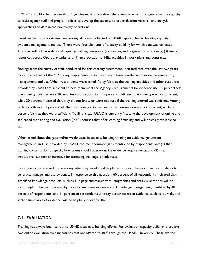OMB Circular No. A-11 states that, "agencies must also address the extent to which the agency has the capacity to assist agency staff and program offices to develop the capacity to use evaluation research and analysis approaches and data in the day-to-day operations."

Based on the Capacity Assessment survey, data was collected on USAID approaches to building capacity in evidence management and use. There were four elements of capacity building for which data was collected. These include: (1) availability of capacity-building resources; (2) planning and organization of training; (3) use of resources across Operating Units; and (4) incorporation of MEL activities in work plans and contracts.

Findings from the survey of staff, conducted for this capacity assessment, indicated that over the last two years, more than a third of the 637 survey respondents participated in an Agency webinar on evidence generation, management, and use. When respondents were asked if they felt that the training activities and other resources provided by USAID are sufficient to help them meet the Agency's requirements for evidence use, 35 percent felt that training activities are sufficient. An equal proportion (35 percent) indicated that training was not sufficient, while 30 percent indicated that they did not know or were not sure if the training offered was sufficient. Among technical officers, 33 percent felt that the training activities and other resources were not sufficient, while 36 percent felt that they were sufficient. To fill this gap, USAID is currently finalizing the development of online and self-paced monitoring and evaluation (M&E) courses that offer learning flexibility and will be easily available to staff.

When asked about the gaps and/or weaknesses in capacity building training on evidence generation, management, and use provided by USAID, the most common gaps mentioned by respondents are: (1) that training contents do not specify how teams should operationalize evidence requirements; and (2) that institutional support or incentive for attending trainings is inadequate.

Respondents were asked in the survey what they would find helpful, to support them or their team's ability to generate, manage, and use evidence. In response to this question, 60 percent of all respondents indicated that simplified knowledge products, such as 1–2-page summaries with infographics and data visualizations will be most helpful. This was followed by tools for managing evidence and knowledge management, identified by 48 percent of respondents; and 41 percent of respondents who say better access to evidence, such as journals, and sector summaries of evidence, will be helpful support for them.

#### <span id="page-30-0"></span>**7.1. EVALUATION**

Training has always been central to USAID's capacity building efforts. For evaluation capacity building, there are two online evaluation training courses that are offered to staff, through the USAID University. These are the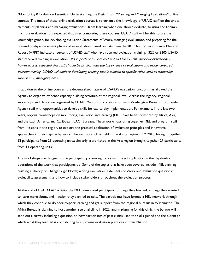"Monitoring & Evaluation Essentials: Understanding the Basics", and "Planning and Managing Evaluations" online courses. The focus of these online evaluation courses is to enhance the knowledge of USAID staff on the critical elements of planning and managing evaluations—from learning when one should evaluate, to using the findings from the evaluation. It is expected that after completing these courses, USAID staff will be able to use the knowledge gained, for developing evaluation Statements of Work, managing evaluations, and preparing for the pre-and post-procurement phases of an evaluation. Based on data from the 2019 Annual Performance Plan and Report (APPR) indicator, "percent of USAID staff who have received evaluation training," 32% or 3205 USAID staff received training in evaluation. (It's important to note that not all USAID staff carry out evaluations however, it is expected that staff should be familiar with the importance of evaluations and evidence-based decision making. USAID will explore developing training that is tailored to specific roles, such as leadership, supervisors, managers, etc.)

In addition to the online courses, the decentralized nature of USAID's evaluation functions has allowed the Agency to organize evidence capacity building activities, at the regional level. Across the Agency, regional workshops and clinics are organized by USAID Missions in collaboration with Washington Bureaus, to provide Agency staff with opportunities to develop skills for day-to-day implementation. For example, in the last two years, regional workshops on monitoring, evaluation and learning (MEL) have been sponsored by Africa, Asia, and the Latin America and Caribbean (LAC) Bureaus. These workshops bring together MEL and program staff from Missions in the region, to explore the practical application of evaluation principles and innovative approaches in their day-to-day work. The evaluation clinic held in the Africa region in FY 2018, brought together 52 participants from 26 operating units; similarly, a workshop in the Asia region brought together 27 participants from 14 operating units.

The workshops are designed to be participatory, covering topics with direct application in the day-to-day operations of the work that participants do. Some of the topics that have been covered include, MEL planning; building a Theory of Change Logic Model; writing evaluation Statements of Work and evaluation questions; evaluability assessment, and how to include stakeholders throughout the evaluation process.

At the end of USAID LAC activity, the MEL team asked participants 3 things they learned, 2 things they wanted to learn more about, and 1 action they planned to take. The participants have formed a MEL network through which they continue to do peer-to-peer learning and get support from the regional bureaus in Washington. The Africa Bureau is planning to host another regional clinic in 2022, and in planning for this clinic, the bureau will send out a survey including a question on how participants of past clinics used the skills gained and the extent to which what they learned is contributing to improving evaluation practices in their Mission.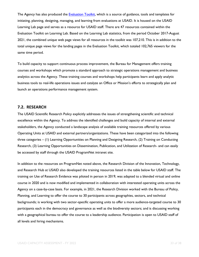The Agency has also produced the [Evaluation Toolkit,](https://usaidlearninglab.org/evaluation-toolkit) which is a source of guidance, tools and templates for initiating, planning, designing, managing, and learning from evaluations at USAID. It is housed on the USAID Learning Lab page and serves as a resource for USAID staff. There are 47 resources contained within the Evaluation Toolkit on Learning Lab. Based on the Learning Lab statistics, from the period October 2017-August 2021, the combined unique web page views for all resources in the toolkit was 107,210. This is in addition to the total unique page views for the landing pages in the Evaluation Toolkit, which totaled 102,765 viewers for the same time period.

To build capacity to support continuous process improvement, the Bureau for Management offers training courses and workshops which promote a standard approach to strategic operations management and business analytics across the Agency. These training courses and workshops help participants learn and apply analytic business tools to real-life operations issues and catalyze an Office or Mission's efforts to strategically plan and launch an operations performance management system.

#### <span id="page-32-0"></span>**7.2. RESEARCH**

The USAID Scientific Research Policy explicitly addresses the issues of strengthening scientific and technical excellence within the Agency. To address the identified challenges and build capacity of internal and external stakeholders, the Agency conducted a landscape analysis of available training resources offered by various Operating Units at USAID and external partners/organizations. These have been categorized into the following three categories – (1) Learning Opportunities on Planning and Designing Research, (2) Training on Conducting Research, (3) Learning Opportunities on Dissemination, Publication, and Utilization of Research- and can easily be accessed by staff through the USAID ProgramNet intranet site.

In addition to the resources on ProgramNet noted above, the Research Division of the Innovation, Technology, and Research Hub at USAID also developed the training resources listed in the table below for USAID staff. The training on Use of Research Evidence was piloted in person in 2019, was adapted to a blended virtual and online course in 2020 and is now modified and implemented in collaboration with interested operating units across the Agency on a case-by-case basis. For example, in 2021, the Research Division worked with the Bureau of Policy, Planning, and Learning to offer the course to 30 participants across geographies, sectors, and technical backgrounds; is working with two sector-specific operating units to offer a more audience-targeted course to 30 participants each in the democracy and governance as well as the biodiversity sectors; and is discussing working with a geographical bureau to offer the course to a leadership audience. Participation is open to USAID staff of all levels and hiring mechanisms.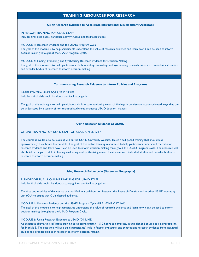#### **TRAINING RESOURCES FOR RESEARCH**

#### **Using Research Evidence to Accelerate International Development Outcomes**

IN-PERSON TRAINING FOR USAID STAFF Includes final slide decks, handouts, activity guides, and facilitator guides

MODULE 1: Research Evidence and the USAID Program Cycle The goal of this module is to help participants understand the value of research evidence and learn how it can be used to inform decision-making throughout the USAID Program Cycle.

MODULE 2: Finding, Evaluating, and Synthesizing Research Evidence for Decision-Making The goal of this module is to build participants' skills in finding, evaluating, and synthesizing research evidence from individual studies and broader bodies of research to inform decision-making.

#### **Communicating Research Evidence to Inform Policies and Programs**

IN-PERSON TRAINING FOR USAID STAFF Includes a final slide deck, handouts, and facilitator guide.

The goal of this training is to build participants' skills in communicating research findings in concise and action-oriented ways that can be understood by a variety of non-technical audiences, including USAID decision- makers.

#### **Using Research Evidence at USAID**

#### ONLINE TRAINING FOR USAID STAFF ON USAID UNIVERSITY

The course is available to be taken at will on the USAID University website. This is a self-paced training that should take approximately 1.5-2 hours to complete. The goal of this online learning resource is to help participants understand the value of research evidence and learn how it can be used to inform decision-making throughout the USAID Program Cycle. The resource will also build participants' skills in finding, evaluating, and synthesizing research evidence from individual studies and broader bodies of research to inform decision-making.

#### **Using Research Evidence in [Sector or Geography]**

BLENDED VIRTUAL & ONLINE TRAINING FOR USAID STAFF Includes final slide decks, handouts, activity guides, and facilitator guides

The first two modules of this course are modified in a collaboration between the Research Division and another USAID operating unit (OU) to target that OU's desired audience.

MODULE 1: Research Evidence and the USAID Program Cycle (REAL-TIME VIRTUAL) The goal of this module is to help participants understand the value of research evidence and learn how it can be used to inform decision-making throughout the USAID Program Cycle.

#### MODULE 2: Using Research Evidence at USAID (ONLINE)

As described above, this self-paced training takes approximately 1.5-2 hours to complete. In this blended course, it is a prerequisite for Module 3. The resource will also build participants' skills in finding, evaluating, and synthesizing research evidence from individual studies and broader bodies of research to inform decision-making.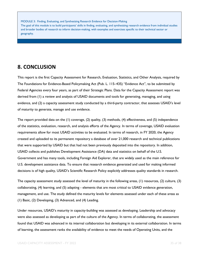MODULE 3: Finding, Evaluating, and Synthesizing Research Evidence for Decision-Making The goal of this module is to build participants' skills in finding, evaluating, and synthesizing research evidence from individual studies and broader bodies of research to inform decision-making, with examples and exercises specific to their technical sector or geography.

### <span id="page-34-0"></span>**8. CONCLUSION**

This report is the first Capacity Assessment for Research, Evaluation, Statistics, and Other Analysis, required by The Foundations for Evidence-Based Policymaking Act (Pub. L. 115–435) "Evidence Act", to be submitted by Federal Agencies every four years, as part of their Strategic Plans. Data for the Capacity Assessment report was derived from (1) a review and analysis of USAID documents and tools for generating, managing, and using evidence, and (2) a capacity assessment study conducted by a third-party contractor, that assesses USAID's level of maturity to generate, manage and use evidence.

The report provided data on the (1) coverage, (2) quality, (3) methods, (4) effectiveness, and (5) independence of the statistics, evaluation, research, and analysis efforts of the Agency. In terms of coverage, USAID evaluation requirements allow for most USAID activities to be evaluated. In terms of research, in FY 2020, the Agency created and uploaded to its permanent repository a database of over 21,000 research and technical publications that were supported by USAID but that had not been previously deposited into the repository. In addition, USAID collects and publishes Development Assistance (DA) data and statistics on behalf of the U.S. Government and has many tools, including Foreign Aid Explorer, that are widely used as the main reference for U.S. development assistance data. To ensure that research evidence generated and used for making informed decisions is of high quality, USAID's Scientific Research Policy explicitly addresses quality standards in research.

The capacity assessment study assessed the level of maturity in the following areas, (1) resources, (2) culture, (3) collaborating, (4) learning, and (5) adapting - elements that are most critical to USAID evidence generation, management, and use. The study defined the maturity levels for elements assessed under each of these areas as (1) Basic, (2) Developing, (3) Advanced, and (4) Leading.

Under resources, USAID's maturity in capacity-building was assessed as developing. Leadership and advocacy were also assessed as developing as part of the culture of the Agency. In terms of collaborating, the assessment found that USAID was advanced in its internal collaboration but developing in its external collaboration. In terms of learning, the assessment ranks the availability of evidence to meet the needs of Operating Units, and the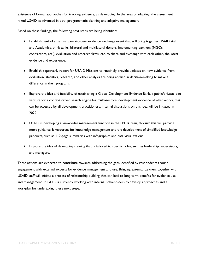existence of formal approaches for tracking evidence, as developing. In the area of adapting, the assessment raked USAID as advanced in both programmatic planning and adaptive management.

Based on these findings, the following next steps are being identified:

- Establishment of an annual peer-to-peer evidence exchange event that will bring together USAID staff, and Academics, think tanks, bilateral and multilateral donors, implementing partners (NGOs, contractors, etc.), evaluation and research firms, etc, to share and exchange with each other, the latest evidence and experience.
- Establish a quarterly report for USAID Missions to routinely provide updates on how evidence from evaluation, statistics, research, and other analysis are being applied in decision-making to make a difference in their programs.
- Explore the idea and feasibility of establishing a Global Development Evidence Bank, a public/private joint venture for a context driven search engine for multi-sectoral development evidence of what works, that can be accessed by all development practitioners. Internal discussions on this idea will be initiated in 2022.
- USAID is developing a knowledge management function in the PPL Bureau, through this will provide more guidance & resources for knowledge management and the development of simplified knowledge products, such as 1–2-page summaries with infographics and data visualizations.
- Explore the idea of developing training that is tailored to specific roles, such as leadership, supervisors, and managers.

These actions are expected to contribute towards addressing the gaps identified by respondents around engagement with external experts for evidence management and use. Bringing external partners together with USAID staff will initiate a process of relationship building that can lead to long-term benefits for evidence use and management. PPL/LER is currently working with internal stakeholders to develop approaches and a workplan for undertaking these next steps.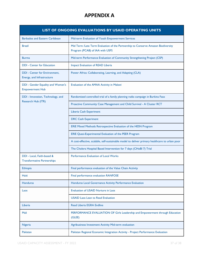# **APPENDIX A**

<span id="page-36-0"></span>

| <b>LIST OF ONGOING EVALUATIONS BY USAID OPERATING UNITS</b>        |                                                                                                                      |  |
|--------------------------------------------------------------------|----------------------------------------------------------------------------------------------------------------------|--|
| <b>Barbados and Eastern Caribbean</b>                              | Mid-term Evaluation of Youth Empowerment Services                                                                    |  |
| Brazil                                                             | Mid Term /Late Term Evaluation of the Partnership to Conserve Amazon Biodiversity<br>Program (PCAB) of IAA with USFS |  |
| Burma                                                              | Mid-term Performance Evaluation of Community Strengthening Project (CSP)                                             |  |
| <b>DDI</b> - Center for Education                                  | Impact Evaluation of READ Liberia                                                                                    |  |
| <b>DDI</b> - Center for Environment,<br>Energy, and Infrastructure | Power Africa: Collaborating, Learning, and Adapting (CLA)                                                            |  |
| <b>DDI</b> - Gender Equality and Women's<br><b>Empowerment Hub</b> | Evaluation of the AMAA Activity in Malawi                                                                            |  |
| DDI - Innovation, Technology, and                                  | Randomized controlled trial of a family planning radio campaign in Burkina Faso                                      |  |
| Research Hub (ITR)                                                 | Proactive Community Case Management and Child Survival - A Cluster RCT                                               |  |
|                                                                    | Liberia Cash Experiment                                                                                              |  |
|                                                                    | <b>DRC Cash Experiment</b>                                                                                           |  |
|                                                                    | ERIE Mixed Methods Retrospective Evaluation of the HESN Program                                                      |  |
|                                                                    | ERIE Quasi-Experimental Evaluation of the PEER Program                                                               |  |
|                                                                    | A cost-effective, scalable, self-sustainable model to deliver primary healthcare to urban poor                       |  |
|                                                                    | The Cholera Hospital Based Intervention for 7 days (CHoBI 7) Trial                                                   |  |
| DDI - Local, Faith-based &<br><b>Transformative Partnerships</b>   | Performance Evaluation of Local Works                                                                                |  |
| <b>Ethiopia</b>                                                    | Final performance evaluation of the Value Chain Activity                                                             |  |
| Haiti                                                              | Final performance evaluation RANFOSE                                                                                 |  |
| <b>Honduras</b>                                                    | Honduras Local Governance Activity Performance Evaluation                                                            |  |
| Laos                                                               | Evaluation of USAID Nurture in Laos                                                                                  |  |
|                                                                    | <b>USAID Laos Lean to Read Evaluation</b>                                                                            |  |
| Liberia                                                            | <b>Read Liberia EGRA Endline</b>                                                                                     |  |
| Mali                                                               | PERFORMANCE EVALUATION OF Girls Leadership and Empowerment through Education<br>(GLEE)                               |  |
| <b>Nigeria</b>                                                     | Agribusiness Investment Activity Mid-term evaluation                                                                 |  |
| Pakistan                                                           | Pakistan Regional Economic Integration Activity - Project Performance Evaluation                                     |  |